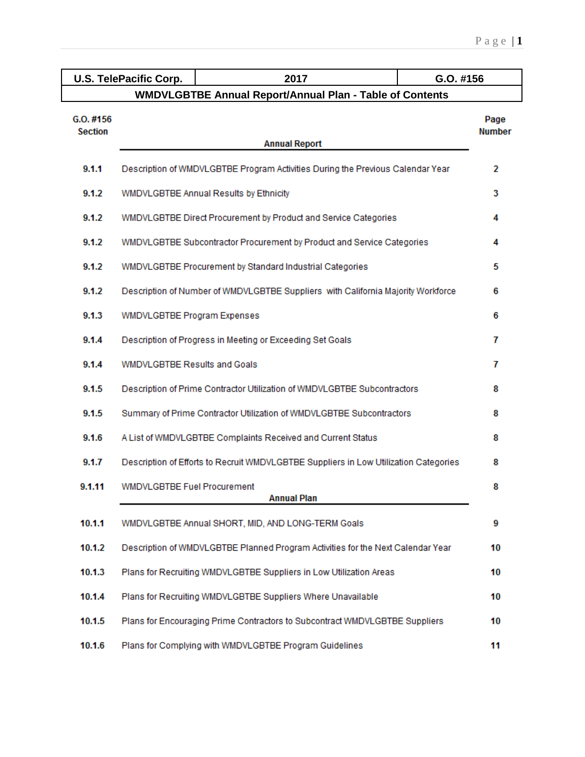|                               | <b>U.S. TelePacific Corp.</b>                                                         | 2017                                                                            | G.O. #156             |  |
|-------------------------------|---------------------------------------------------------------------------------------|---------------------------------------------------------------------------------|-----------------------|--|
|                               |                                                                                       | <b>WMDVLGBTBE Annual Report/Annual Plan - Table of Contents</b>                 |                       |  |
| $G.0.$ #156<br><b>Section</b> |                                                                                       | <b>Annual Report</b>                                                            | Page<br><b>Number</b> |  |
| 9.1.1                         |                                                                                       | Description of WMDVLGBTBE Program Activities During the Previous Calendar Year  | 2                     |  |
| 9.1.2                         |                                                                                       | WMDVLGBTBE Annual Results by Ethnicity                                          | 3                     |  |
| 9.1.2                         |                                                                                       | WMDVLGBTBE Direct Procurement by Product and Service Categories                 | 4                     |  |
| 9.1.2                         |                                                                                       | WMDVLGBTBE Subcontractor Procurement by Product and Service Categories          | 4                     |  |
| 9.1.2                         | WMDVLGBTBE Procurement by Standard Industrial Categories<br>5                         |                                                                                 |                       |  |
| 9.1.2                         | Description of Number of WMDVLGBTBE Suppliers with California Majority Workforce<br>6 |                                                                                 |                       |  |
| 9.1.3                         | WMDVLGBTBE Program Expenses                                                           |                                                                                 | 6                     |  |
| 9.1.4                         | Description of Progress in Meeting or Exceeding Set Goals<br>7                        |                                                                                 |                       |  |
| 9.1.4                         | <b>WMDVLGBTBE Results and Goals</b><br>7                                              |                                                                                 |                       |  |
| 9.1.5                         | Description of Prime Contractor Utilization of WMDVLGBTBE Subcontractors<br>8         |                                                                                 |                       |  |
| 9.1.5                         | Summary of Prime Contractor Utilization of WMDVLGBTBE Subcontractors<br>8             |                                                                                 |                       |  |
| 9.1.6                         | A List of WMDVLGBTBE Complaints Received and Current Status<br>8                      |                                                                                 |                       |  |
| 9.1.7                         | Description of Efforts to Recruit WMDVLGBTBE Suppliers in Low Utilization Categories  |                                                                                 |                       |  |
| 9.1.11                        | <b>WMDVLGBTBE Fuel Procurement</b>                                                    | <b>Annual Plan</b>                                                              | 8                     |  |
| 10.1.1                        |                                                                                       | WMDVLGBTBE Annual SHORT, MID, AND LONG-TERM Goals                               | 9                     |  |
| 10.1.2                        |                                                                                       | Description of WMDVLGBTBE Planned Program Activities for the Next Calendar Year | 10                    |  |
| 10.1.3                        |                                                                                       | Plans for Recruiting WMDVLGBTBE Suppliers in Low Utilization Areas              | 10                    |  |
| 10.1.4                        |                                                                                       | Plans for Recruiting WMDVLGBTBE Suppliers Where Unavailable                     | 10                    |  |
| 10.1.5                        |                                                                                       | Plans for Encouraging Prime Contractors to Subcontract WMDVLGBTBE Suppliers     | 10                    |  |
| 10.1.6                        |                                                                                       | Plans for Complying with WMDVLGBTBE Program Guidelines                          | 11                    |  |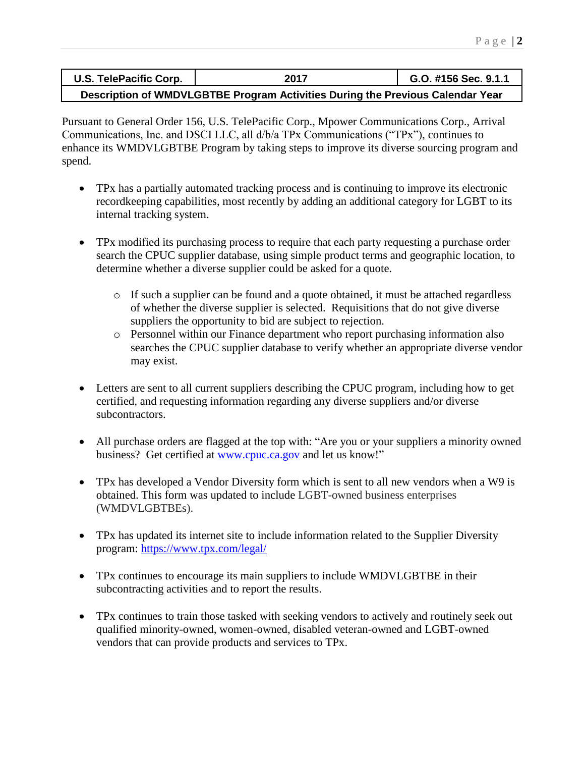| U.S. TelePacific Corp. | 2017                                                                           | G.O. #156 Sec. 9.1.1 |
|------------------------|--------------------------------------------------------------------------------|----------------------|
|                        | Description of WMDVLGBTBE Program Activities During the Previous Calendar Year |                      |

Pursuant to General Order 156, U.S. TelePacific Corp., Mpower Communications Corp., Arrival Communications, Inc. and DSCI LLC, all d/b/a TPx Communications ("TPx"), continues to enhance its WMDVLGBTBE Program by taking steps to improve its diverse sourcing program and spend.

- TPx has a partially automated tracking process and is continuing to improve its electronic recordkeeping capabilities, most recently by adding an additional category for LGBT to its internal tracking system.
- TPx modified its purchasing process to require that each party requesting a purchase order search the CPUC supplier database, using simple product terms and geographic location, to determine whether a diverse supplier could be asked for a quote.
	- o If such a supplier can be found and a quote obtained, it must be attached regardless of whether the diverse supplier is selected. Requisitions that do not give diverse suppliers the opportunity to bid are subject to rejection.
	- o Personnel within our Finance department who report purchasing information also searches the CPUC supplier database to verify whether an appropriate diverse vendor may exist.
- Letters are sent to all current suppliers describing the CPUC program, including how to get certified, and requesting information regarding any diverse suppliers and/or diverse subcontractors.
- All purchase orders are flagged at the top with: "Are you or your suppliers a minority owned business? Get certified at [www.cpuc.ca.gov](http://www.cpuc.ca.gov/) and let us know!"
- TPx has developed a Vendor Diversity form which is sent to all new vendors when a W9 is obtained. This form was updated to include LGBT-owned business enterprises (WMDVLGBTBEs).
- TPx has updated its internet site to include information related to the Supplier Diversity program:<https://www.tpx.com/legal/>
- TPx continues to encourage its main suppliers to include WMDVLGBTBE in their subcontracting activities and to report the results.
- TPx continues to train those tasked with seeking vendors to actively and routinely seek out qualified minority-owned, women-owned, disabled veteran-owned and LGBT-owned vendors that can provide products and services to TPx.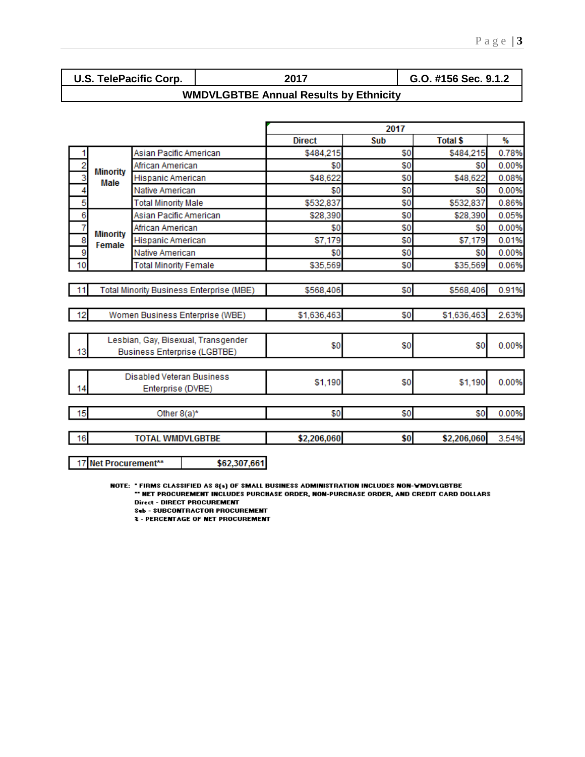| <b>U.S. TelePacific Corp.</b> | 2017                                          | G.O. #156 Sec. 9.1.2 |
|-------------------------------|-----------------------------------------------|----------------------|
|                               | <b>WMDVLGBTBE Annual Results by Ethnicity</b> |                      |

|      |                                          |                              |               | 2017 |                 |       |
|------|------------------------------------------|------------------------------|---------------|------|-----------------|-------|
|      |                                          |                              | <b>Direct</b> | Sub  | <b>Total \$</b> | ₩     |
|      |                                          | Asian Pacific American       | \$484,215     | \$0  | \$484,215       | 0.78% |
| 2    | <b>Minority</b>                          | African American             | \$0           | \$0  | \$0             | 0.00% |
| 3    | <b>Male</b>                              | Hispanic American            | \$48,622      | \$0  | \$48,622        | 0.08% |
|      |                                          | Native American              | \$0           | \$0  | \$0             | 0.00% |
| 5    |                                          | <b>Total Minority Male</b>   | \$532,837     | \$0  | \$532,837       | 0.86% |
| 6    |                                          | Asian Pacific American       | \$28,390      | \$0  | \$28,390        | 0.05% |
|      | <b>Minority</b>                          | African American             | \$0           | \$0  | \$0             | 0.00% |
| 8    | Female                                   | Hispanic American            | \$7,179       | \$0  | \$7,179         | 0.01% |
| 9    |                                          | Native American              | \$0           | \$0  | \$0             | 0.00% |
| 10   |                                          | <b>Total Minority Female</b> | \$35,569      | \$0  | \$35,569        | 0.06% |
|      |                                          |                              |               |      |                 |       |
| 11   | Total Minority Business Enterprise (MBE) |                              | \$568,406     | \$0  | \$568.406       | 0.91% |
|      |                                          |                              |               |      |                 |       |
| -12  | Women Business Enterprise (WBE)          |                              | \$1,636,463   | \$0  | \$1,636,463     | 2.63% |
|      |                                          |                              |               |      |                 |       |
|      | Lesbian, Gay, Bisexual, Transgender      |                              | \$0           | \$0  | \$0             | 0.00% |
| 13   | <b>Business Enterprise (LGBTBE)</b>      |                              |               |      |                 |       |
|      |                                          |                              |               |      |                 |       |
|      | <b>Disabled Veteran Business</b>         |                              | \$1,190       | \$0  | \$1,190         | 0.00% |
| 14   | Enterprise (DVBE)                        |                              |               |      |                 |       |
|      |                                          |                              |               |      |                 |       |
| - 15 |                                          | Other 8(a)*                  | \$0           | \$0  | \$0             | 0.00% |
|      |                                          |                              |               |      |                 |       |
| 16   |                                          | <b>TOTAL WMDVLGBTBE</b>      | \$2,206,060   | \$0  | \$2,206,060     | 3.54% |

17 Net Procurement\*\*

NOTE: " FIRMS CLASSIFIED AS 8(a) OF SMALL BUSINESS ADMINISTRATION INCLUDES NON-WMDYLGBTBE<br>IN ET PROCUREMENT INCLUDES PURCHASE ORDER, NON-PURCHASE ORDER, AND CREDIT CARD DOLLARS " **Direct - DIRECT PROCUREMENT** 

**Sub - SUBCONTRACTOR PROCUREMENT** 

**2 - PERCENTAGE OF NET PROCUREMENT** 

\$62,307,661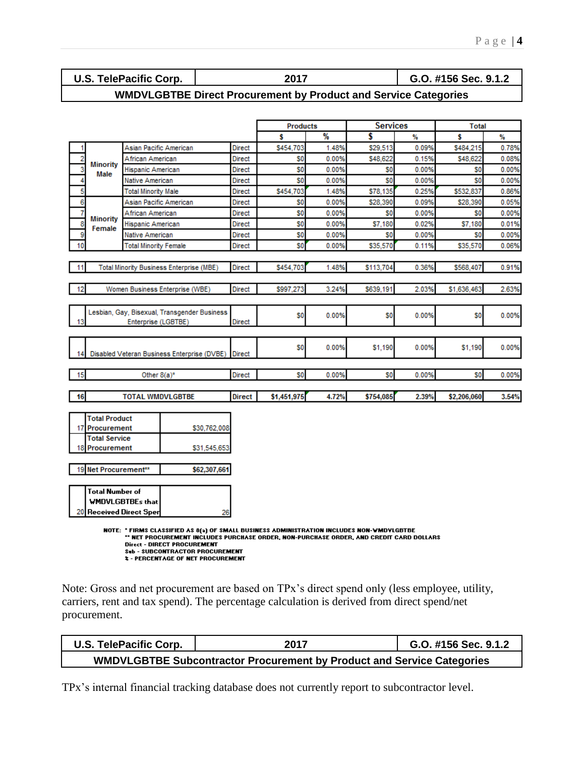| U.S. TelePacific ( |  |
|--------------------|--|
|--------------------|--|

**U.S. TelePacific Corp. 2017 G.O. #156 Sec. 9.1.2**

## **WMDVLGBTBE Direct Procurement by Product and Service Categories**

|                |                                                                                                        |                                                 |                                                 |               | <b>Products</b> |       | <b>Services</b> |       | <b>Total</b>   |       |
|----------------|--------------------------------------------------------------------------------------------------------|-------------------------------------------------|-------------------------------------------------|---------------|-----------------|-------|-----------------|-------|----------------|-------|
|                |                                                                                                        |                                                 |                                                 |               | Ŝ               | %     | \$              | ₩     | Ŝ              | %     |
|                |                                                                                                        | Asian Pacific American                          |                                                 | Direct        | \$454,703       | 1.48% | \$29,513        | 0.09% | \$484,215      | 0.78% |
| $\overline{2}$ |                                                                                                        | African American                                |                                                 | <b>Direct</b> | SO              | 0.00% | \$48,622        | 0.15% | \$48,622       | 0.08% |
| 3              | <b>Minority</b><br>Male                                                                                | Hispanic American                               |                                                 | <b>Direct</b> | S0              | 0.00% | S0              | 0.00% | S0             | 0.00% |
| 4              |                                                                                                        | Native American                                 |                                                 | <b>Direct</b> | S0              | 0.00% | S <sub>0</sub>  | 0.00% | S0             | 0.00% |
| 5              |                                                                                                        | <b>Total Minority Male</b>                      |                                                 | <b>Direct</b> | \$454,703       | 1.48% | \$78,135        | 0.25% | \$532,837      | 0.86% |
| 6              |                                                                                                        | Asian Pacific American                          |                                                 | <b>Direct</b> | \$0             | 0.00% | \$28,390        | 0.09% | \$28,390       | 0.05% |
| 7              |                                                                                                        | African American                                |                                                 | <b>Direct</b> | SO.             | 0.00% | S0              | 0.00% | S0             | 0.00% |
| 8              | <b>Minority</b><br>Female                                                                              | <b>Hispanic American</b>                        |                                                 | Direct        | S0              | 0.00% | \$7,180         | 0.02% | \$7,180        | 0.01% |
| 9              |                                                                                                        | Native American                                 |                                                 | <b>Direct</b> | \$O             | 0.00% | S0              | 0.00% | S0             | 0.00% |
| 10             |                                                                                                        | <b>Total Minority Female</b>                    |                                                 | Direct        | \$O             | 0.00% | \$35,570        | 0.11% | \$35,570       | 0.06% |
| 11             |                                                                                                        |                                                 | <b>Total Minority Business Enterprise (MBE)</b> | <b>Direct</b> | \$454,703       | 1.48% | \$113,704       | 0.36% | \$568,407      | 0.91% |
|                |                                                                                                        |                                                 |                                                 |               |                 |       |                 |       |                |       |
| 12             |                                                                                                        |                                                 | Women Business Enterprise (WBE)                 | <b>Direct</b> | \$997,273       | 3.24% | \$639,191       | 2.03% | \$1,636,463    | 2.63% |
|                |                                                                                                        | Enterprise (LGBTBE)                             | Lesbian, Gay, Bisexual, Transgender Business    | <b>Direct</b> | SO.             | 0.00% | S <sub>0</sub>  | 0.00% | S <sub>0</sub> | 0.00% |
|                |                                                                                                        |                                                 | Disabled Veteran Business Enterprise (DVBE)     | <b>Direct</b> | \$O             | 0.00% | \$1,190         | 0.00% | \$1,190        | 0.00% |
| 15             |                                                                                                        | Other $8(a)^*$                                  |                                                 | Direct        | S <sub>0</sub>  | 0.00% | S <sub>0</sub>  | 0.00% | SO             | 0.00% |
|                |                                                                                                        |                                                 |                                                 |               |                 |       |                 |       |                |       |
| 16             |                                                                                                        | <b>TOTAL WMDVLGBTBE</b>                         |                                                 | <b>Direct</b> | \$1,451,975     | 4.72% | \$754,085       | 2.39% | \$2,206,060    | 3.54% |
| 17<br>18<br>19 | <b>Total Product</b><br>Procurement<br><b>Total Service</b><br><b>Procurement</b><br>Net Procurement** |                                                 | \$30,762,008<br>\$31,545,653<br>\$62,307,661    |               |                 |       |                 |       |                |       |
| 20             | Total Number of                                                                                        | WMDVLGBTBEs that<br><b>Received Direct Sper</b> | 26                                              |               |                 |       |                 |       |                |       |

NOTE: "FIRMS CLASSIFIED AS 8(a) OF SMALL BUSINESS ADMINISTRATION INCLUDES NON-WMDVLGBTBE<br>"" NET PROCUREMENT INCLUDES PURCHASE ORDER, NON-PURCHASE ORDER, AND CREDIT CARD DOLLARS Direct - DIRECT PROCUREMENT<br>
Sub - SUBCONTRACTOR PROCUREMENT<br>
2 - PERCENTAGE OF NET PROCUREMENT

Note: Gross and net procurement are based on TPx's direct spend only (less employee, utility, carriers, rent and tax spend). The percentage calculation is derived from direct spend/net procurement.

| U.S. TelePacific Corp. | 2017                                                                          | G.O. #156 Sec. 9.1.2 |
|------------------------|-------------------------------------------------------------------------------|----------------------|
|                        | <b>WMDVLGBTBE Subcontractor Procurement by Product and Service Categories</b> |                      |

TPx's internal financial tracking database does not currently report to subcontractor level.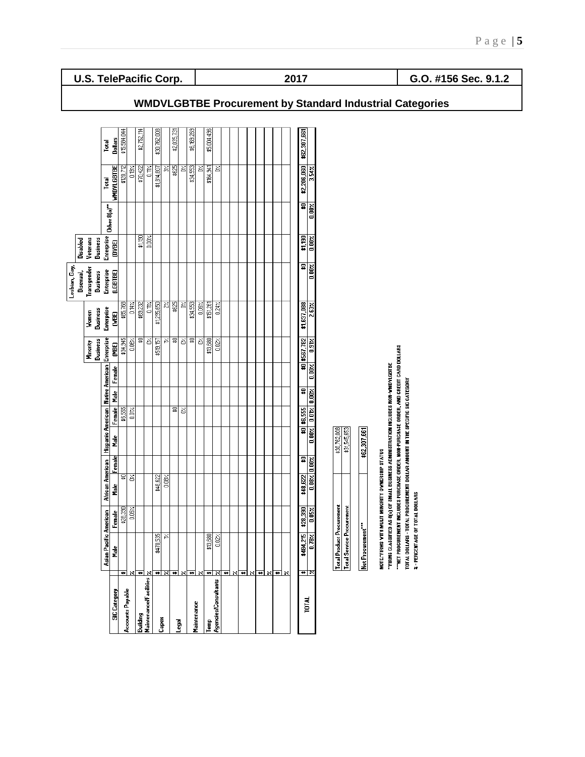|                           |                                    |               |                   |   |                         |                                                  |               |               | Lesbian, Gay,           |                   |               |               |                |
|---------------------------|------------------------------------|---------------|-------------------|---|-------------------------|--------------------------------------------------|---------------|---------------|-------------------------|-------------------|---------------|---------------|----------------|
|                           |                                    |               |                   |   |                         |                                                  |               |               | Bisexual,               | Disabled          |               |               |                |
|                           |                                    |               |                   |   |                         |                                                  | Minority      | Women         | Transgender             | Veterans          |               |               |                |
|                           |                                    |               |                   |   |                         |                                                  | Business      | Business      | <b>Business</b>         | <b>Business</b>   |               |               |                |
|                           | Asian Pacil                        | tic American  | African American  |   |                         | Hispanic American   Native American   Enterprise |               | Enterprise    | Enterprise              | <b>Enterprise</b> | Other 8(a)"   | Total         | Total          |
| <b>SIC</b> Category       | å                                  | Female        | Female<br>å<br>E  | å | Female Male             | Female                                           | (MBE)         | <b>GBE)</b>   | <b>LGBTBE)</b>          | <b>OVBE)</b>      |               | WHOVLGBTBE    | <b>Dollars</b> |
|                           | ÷.                                 | \$28,390      | 뮳                 |   | \$6,555                 |                                                  | \$34,945      | \$85,768      |                         |                   |               | \$120,712     | \$15,584,044   |
| Accounts Payable          | ×                                  | 0.05%         | š                 |   | $rac{1}{20}$            |                                                  | $\frac{2}{3}$ | 0.14%         |                         |                   |               | $\frac{3}{2}$ |                |
| Building                  | $\overline{\bullet}$               |               |                   |   |                         |                                                  | g             | \$69,232      |                         | \$1,190           |               | \$70,422      | \$2,752,114    |
| Maintenancel Facilities y |                                    |               |                   |   |                         |                                                  | š             | 0.1%          |                         | $\hat{e}$         |               | È,            |                |
|                           | \$470,535<br>₩                     |               | \$48,622          |   |                         |                                                  | \$519,157     | \$1,295,650   |                         |                   |               | \$1,814,807   | \$30,762,008   |
| Capex                     | $\bf x$                            | Σ,            | $0.08\%$          |   |                         |                                                  | Σ,            | $\frac{2}{3}$ |                         |                   |               | ð             |                |
|                           | ₩                                  |               |                   |   | 뮳                       |                                                  | 뮳             | \$625         |                         |                   |               | \$625         | \$2,035,731    |
| legal                     | ×                                  |               |                   |   | S                       |                                                  | త             | Š             |                         |                   |               | Š             |                |
| Maintenance               | ₩                                  |               |                   |   |                         |                                                  | ⋦             | \$34,553      |                         |                   |               | \$34,553      | \$6,169,269    |
|                           |                                    |               |                   |   |                         |                                                  | š             | 0.06%         |                         |                   |               | š             |                |
| ᇣ                         | \$13,680<br>₩                      |               |                   |   |                         |                                                  | \$13,680      | \$151,261     |                         |                   |               | \$164,941     | \$5,004,496    |
| Agencies/Consultants      | 0.022<br>$\boldsymbol{\mathsf{x}}$ |               |                   |   |                         |                                                  | 0.02          | 0.24          |                         |                   |               | š             |                |
|                           | ₩                                  |               |                   |   |                         |                                                  |               |               |                         |                   |               |               |                |
|                           | $\boldsymbol{\mathsf{x}}$          |               |                   |   |                         |                                                  |               |               |                         |                   |               |               |                |
|                           | ↔                                  |               |                   |   |                         |                                                  |               |               |                         |                   |               |               |                |
|                           |                                    |               |                   |   |                         |                                                  |               |               |                         |                   |               |               |                |
|                           | ₩                                  |               |                   |   |                         |                                                  |               |               |                         |                   |               |               |                |
|                           | ×                                  |               |                   |   |                         |                                                  |               |               |                         |                   |               |               |                |
|                           | ₩                                  |               |                   |   |                         |                                                  |               |               |                         |                   |               |               |                |
|                           | $\boldsymbol{\mathsf{x}}$          |               |                   |   |                         |                                                  |               |               |                         |                   |               |               |                |
| TOTAL                     | \$484,21<br>₩                      | \$28,390<br>۴ | \$48,622          | ≌ | $$0 $ \$6,555           | ₽                                                | \$0 \$567,782 | \$1,637,088   | ⋥                       | \$1,190           | 뮤             | \$2,206,060   | \$62,307,661   |
|                           | $0.78\times$                       | $0.05\times$  | $0.08$ % $0.00$ % |   | $0.00z$ $0.01z$ $0.00z$ | $0.00 \times$                                    | $0.91$ %      | $2.63\times$  | $\overline{0.00\times}$ | 0.00%             | $0.00 \times$ | 3.54%         |                |

| [otal Product Procurement | \$30,762,008 |
|---------------------------|--------------|
| iotal Service Procurement | \$31,545,653 |
|                           |              |
| Net Procurement           | \$62,307,661 |

NOTE: "FIRMS WITH MULIT MINORITY OWNERSHIP STATUS

"TRIMS CLASSIFIED AS 8(4) OF SMALL BUSINESS ADMINISTRATION INCLUDES NON-VMOVILBITBE<br>""NET PROCUREMENT INCLUDES PURCHASE ORDER, NON-PURCHASE ORDER, AND CREDIT CARD DOLLARS<br>TOTAL DOLLARS - TOTAL PROCUREMENT DOLLAR AMOUNT IN

**U.S. TelePacific Corp. 2017 G.O. #156 Sec. 9.1.2**

## **WMDVLGBTBE Procurement by Standard Industrial Categories**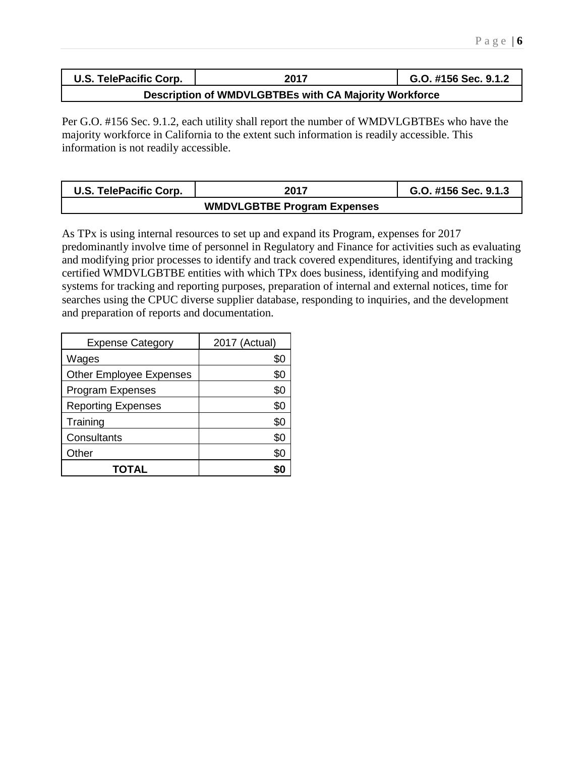| U.S. TelePacific Corp. | 2017                                                  | G.O. #156 Sec. 9.1.2 |
|------------------------|-------------------------------------------------------|----------------------|
|                        | Description of WMDVLGBTBEs with CA Majority Workforce |                      |

Per G.O. #156 Sec. 9.1.2, each utility shall report the number of WMDVLGBTBEs who have the majority workforce in California to the extent such information is readily accessible. This information is not readily accessible.

| U.S. TelePacific Corp. | 2017                               | G.O. #156 Sec. 9.1.3 |
|------------------------|------------------------------------|----------------------|
|                        | <b>WMDVLGBTBE Program Expenses</b> |                      |

As TPx is using internal resources to set up and expand its Program, expenses for 2017 predominantly involve time of personnel in Regulatory and Finance for activities such as evaluating and modifying prior processes to identify and track covered expenditures, identifying and tracking certified WMDVLGBTBE entities with which TPx does business, identifying and modifying systems for tracking and reporting purposes, preparation of internal and external notices, time for searches using the CPUC diverse supplier database, responding to inquiries, and the development and preparation of reports and documentation.

| <b>Expense Category</b>        | 2017 (Actual) |
|--------------------------------|---------------|
| Wages                          | \$0           |
| <b>Other Employee Expenses</b> | \$0           |
| <b>Program Expenses</b>        | \$0           |
| <b>Reporting Expenses</b>      | \$0           |
| Training                       | \$0           |
| Consultants                    | \$0           |
| Other                          | \$0           |
| TOTAL                          |               |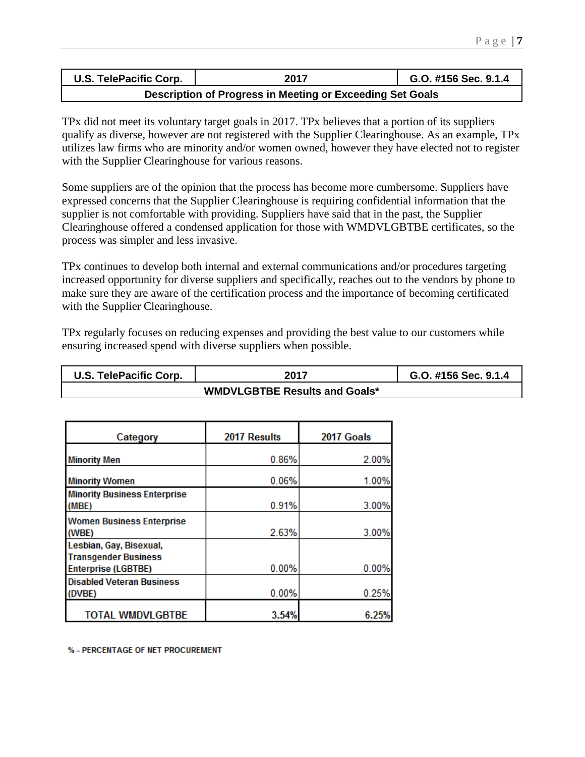| U.S. TelePacific Corp.                                    | 2017 | G.O. #156 Sec. 9.1.4 |  |  |  |
|-----------------------------------------------------------|------|----------------------|--|--|--|
| Description of Progress in Meeting or Exceeding Set Goals |      |                      |  |  |  |

TPx did not meet its voluntary target goals in 2017. TPx believes that a portion of its suppliers qualify as diverse, however are not registered with the Supplier Clearinghouse. As an example, TPx utilizes law firms who are minority and/or women owned, however they have elected not to register with the Supplier Clearinghouse for various reasons.

Some suppliers are of the opinion that the process has become more cumbersome. Suppliers have expressed concerns that the Supplier Clearinghouse is requiring confidential information that the supplier is not comfortable with providing. Suppliers have said that in the past, the Supplier Clearinghouse offered a condensed application for those with WMDVLGBTBE certificates, so the process was simpler and less invasive.

TPx continues to develop both internal and external communications and/or procedures targeting increased opportunity for diverse suppliers and specifically, reaches out to the vendors by phone to make sure they are aware of the certification process and the importance of becoming certificated with the Supplier Clearinghouse.

TPx regularly focuses on reducing expenses and providing the best value to our customers while ensuring increased spend with diverse suppliers when possible.

| U.S. TelePacific Corp. | 2017 | G.O. #156 Sec. 9.1.4 |  |  |  |
|------------------------|------|----------------------|--|--|--|
|                        |      |                      |  |  |  |

| Category                                                       | 2017 Results | 2017 Goals |
|----------------------------------------------------------------|--------------|------------|
| <b>Minority Men</b>                                            | 0.86%        | 2.00%      |
| <b>Minority Women</b>                                          | 0.06%        | 1.00%      |
| <b>Minority Business Enterprise</b><br>(MBE)                   | 0.91%        | 3.00%      |
| <b>Women Business Enterprise</b><br>(WBE)                      | 2.63%        | 3.00%      |
| Lesbian, Gay, Bisexual,<br><b>Transgender Business</b>         |              |            |
| <b>Enterprise (LGBTBE)</b><br><b>Disabled Veteran Business</b> | 0.00%        | 0.00%      |
| (DVBE)                                                         | 0.00%        | 0.25%      |
| <b>TOTAL WMDVLGBTBE</b>                                        | 3.54%        | 6.25%      |

% - PERCENTAGE OF NET PROCUREMENT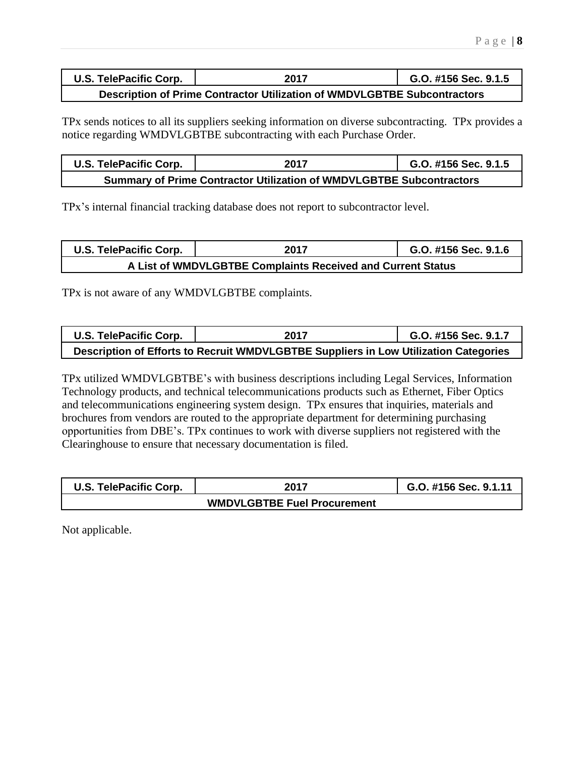| U.S. TelePacific Corp.                                                   | 2017 | G.O. #156 Sec. 9.1.5 |  |  |  |  |
|--------------------------------------------------------------------------|------|----------------------|--|--|--|--|
| Description of Prime Contractor Utilization of WMDVLGBTBE Subcontractors |      |                      |  |  |  |  |

TPx sends notices to all its suppliers seeking information on diverse subcontracting. TPx provides a notice regarding WMDVLGBTBE subcontracting with each Purchase Order.

| <b>U.S. TelePacific Corp.</b>                                               | 2017 | G.O. #156 Sec. 9.1.5 |  |  |  |
|-----------------------------------------------------------------------------|------|----------------------|--|--|--|
| <b>Summary of Prime Contractor Utilization of WMDVLGBTBE Subcontractors</b> |      |                      |  |  |  |

TPx's internal financial tracking database does not report to subcontractor level.

| U.S. TelePacific Corp.                                      | 2017 | G.O. #156 Sec. 9.1.6 |  |  |  |
|-------------------------------------------------------------|------|----------------------|--|--|--|
| A List of WMDVLGBTBE Complaints Received and Current Status |      |                      |  |  |  |

TPx is not aware of any WMDVLGBTBE complaints.

| U.S. TelePacific Corp.                                                               | 2017 | G.O. #156 Sec. 9.1.7 |  |  |  |  |
|--------------------------------------------------------------------------------------|------|----------------------|--|--|--|--|
| Description of Efforts to Recruit WMDVLGBTBE Suppliers in Low Utilization Categories |      |                      |  |  |  |  |

TPx utilized WMDVLGBTBE's with business descriptions including Legal Services, Information Technology products, and technical telecommunications products such as Ethernet, Fiber Optics and telecommunications engineering system design. TPx ensures that inquiries, materials and brochures from vendors are routed to the appropriate department for determining purchasing opportunities from DBE's. TPx continues to work with diverse suppliers not registered with the Clearinghouse to ensure that necessary documentation is filed.

| U.S. TelePacific Corp. | 2017 | G.O. #156 Sec. 9.1.11 |
|------------------------|------|-----------------------|
|                        |      |                       |

Not applicable.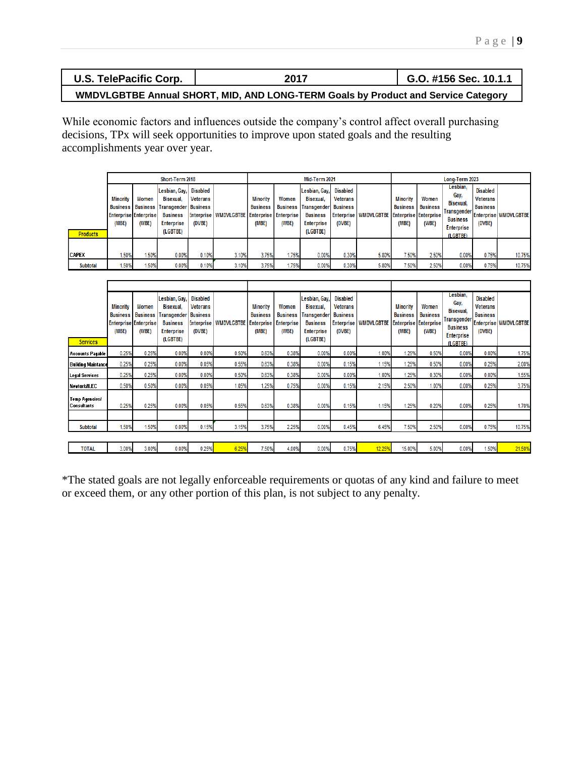| <b>U.S. TelePacific Corp.</b>                                                     | 2017 | G.O. #156 Sec. 10.1.1 |  |  |  |  |  |
|-----------------------------------------------------------------------------------|------|-----------------------|--|--|--|--|--|
| WMDVLGBTBE Annual SHORT, MID, AND LONG-TERM Goals by Product and Service Category |      |                       |  |  |  |  |  |

While economic factors and influences outside the company's control affect overall purchasing decisions, TPx will seek opportunities to improve upon stated goals and the resulting accomplishments year over year.

|                                 |                                                          | Short-Term 2018 |                                                                                                                                |                                       |                                                   |                                             | Mid-Term 2021  |                                                                                                               |                                                          |                                                   | Long-Term 2023                              |                                   |                                                                                                  |                                                   |                         |
|---------------------------------|----------------------------------------------------------|-----------------|--------------------------------------------------------------------------------------------------------------------------------|---------------------------------------|---------------------------------------------------|---------------------------------------------|----------------|---------------------------------------------------------------------------------------------------------------|----------------------------------------------------------|---------------------------------------------------|---------------------------------------------|-----------------------------------|--------------------------------------------------------------------------------------------------|---------------------------------------------------|-------------------------|
| <b>Products</b>                 | <b>Minority</b><br><b>Enterprise Enterprise</b><br>(MBE) | Women<br>(WBE)  | Lesbian, Gay,<br>Bisexual.<br><b>Business   Business   Transgender   Business</b><br><b>Business</b><br>Enterprise<br>(LGBTBE) | <b>Disabled</b><br>Veterans<br>(DVBE) | Enterprise   WMDVLGBTBE   Enterprise   Enterprise | <b>Minority</b><br><b>Business</b><br>(MBE) | Women<br>(WBE) | Lesbian, Gay,<br>Bisexual,<br><b>Business Transgender</b><br><b>Business</b><br><b>Enterprise</b><br>(LGBTBE) | <b>Disabled</b><br>Veterans<br><b>Business</b><br>(DVBE) | Enterprise   WMDVLGBTBE   Enterprise   Enterprise | <b>Minority</b><br><b>Business</b><br>(MBE) | Women<br><b>Business</b><br>(WBE) | Lesbian,<br>Gay,<br>Bisexual.<br>Transgender<br><b>Business</b><br><b>Enterprise</b><br>(LGBTBE) | Disabled<br>Veterans<br><b>Business</b><br>(DVBE) | Enterprise   WMDVLGBTBE |
|                                 |                                                          |                 |                                                                                                                                |                                       |                                                   |                                             |                |                                                                                                               |                                                          |                                                   |                                             |                                   |                                                                                                  |                                                   |                         |
| <b>CAPEX</b><br><b>Subtotal</b> | .50%<br>1.50%                                            | .50%<br>1.50%   | 0.00%<br>0.00%                                                                                                                 | 0.10%<br>0.10%                        | 3.10%<br>3.10%                                    | 3.75%<br>3.75%                              | 1.75%<br>1.75% | 0.00%<br>0.00%                                                                                                | 0.30%<br>0.30%                                           | 5.80%<br>5.80%                                    | 7.50%<br>7.50%                              | 2.50%<br>2.50%                    | 0.00%<br>0.00%                                                                                   | 0.75%<br>0.75%                                    | 10.75%<br>10.75%        |

| <b>Services</b>                      | <b>Minority</b><br><b>Business</b><br>(MBE) | Women<br><b>Business</b><br><b>Enterprise Enterprise</b><br>(WBE) | Lesbian, Gay,<br>Bisexual.<br>Transgender<br><b>Business</b><br><b>Enterprise</b><br>(LGBTBE) | <b>Disabled</b><br><b>Veterans</b><br><b>Business</b><br><b>Enterprise</b><br>(DVBE) | <b>WMDVLGBTBE</b> | <b>Minority</b><br><b>Business</b><br><b>Enterprise</b><br>(MBE) | Women<br><b>Business</b><br><b>Enterprise</b><br>(WBE) | Lesbian, Gay,<br>Bisexual.<br>Transgender<br><b>Business</b><br><b>Enterprise</b><br>(LGBTBE) | <b>Disabled</b><br><b>Veterans</b><br><b>Business</b><br><b>Enterprise</b><br>(DVBE) | <b>WMDVLGBTBE</b> | <b>Minority</b><br><b>Business</b><br><b>Enterprise Enterprise</b><br>(MBE) | Women<br><b>Business</b><br>(WBE) | Lesbian.<br>Gay,<br>Bisexual.<br>Transgender<br><b>Business</b><br><b>Enterprise</b><br>(LGBTBE) | <b>Disabled</b><br><b>Veterans</b><br><b>Business</b><br>(DVBE) | Enterprise   WMDVLGBTBE |
|--------------------------------------|---------------------------------------------|-------------------------------------------------------------------|-----------------------------------------------------------------------------------------------|--------------------------------------------------------------------------------------|-------------------|------------------------------------------------------------------|--------------------------------------------------------|-----------------------------------------------------------------------------------------------|--------------------------------------------------------------------------------------|-------------------|-----------------------------------------------------------------------------|-----------------------------------|--------------------------------------------------------------------------------------------------|-----------------------------------------------------------------|-------------------------|
| <b>Accounts Pagable</b>              | 0.25%                                       | 0.25%                                                             | 0.00%                                                                                         | 0.00%                                                                                | 0.50%             | 0.63%                                                            | 0.38%                                                  | 0.00%                                                                                         | 0.00%                                                                                | 1.00%             | 1.25%                                                                       | 0.50%                             | 0.00%                                                                                            | 0.00%                                                           | 1.75%                   |
| Building Maintance                   | 0.25%                                       | 0.25%                                                             | 0.00%                                                                                         | 0.05%                                                                                | 0.55%             | 0.63%                                                            | 0.38%                                                  | 0.00%                                                                                         | 0.15%                                                                                | 1.15%             | 1.25%                                                                       | 0.50%                             | 0.00%                                                                                            | 0.25%                                                           | 2.00%                   |
| Legal Services                       | 0.25%                                       | 0.25%                                                             | 0.00%                                                                                         | 0.00%                                                                                | 0.50%             | 0.63%                                                            | 0.38%                                                  | 0.00%                                                                                         | 0.00%                                                                                | 1.00%             | 1.25%                                                                       | 0.30%                             | 0.00%                                                                                            | 0.00%                                                           | 1.55%                   |
| Newtork/ILEC                         | 0.50%                                       | 0.50%                                                             | 0.00%                                                                                         | 0.05%                                                                                | 1.05%             | 1.25%                                                            | 0.75%                                                  | 0.00%                                                                                         | 0.15%                                                                                | 2.15%             | 2.50%                                                                       | 1.00%                             | 0.00%                                                                                            | 0.25%                                                           | 3.75%                   |
| <b>Temp Agencies!</b><br>Consultants | 0.25%                                       | 0.25%                                                             | 0.00%                                                                                         | 0.05%                                                                                | 0.55%             | 0.63%                                                            | 0.38%                                                  | 0.00%                                                                                         | 0.15%                                                                                | 1.15%             | 1.25%                                                                       | 0.20%                             | 0.00%                                                                                            | 0.25%                                                           | 1.70%                   |
| <b>Subtotal</b>                      | 1.50%                                       | 1.50%                                                             | 0.00%                                                                                         | 0.15%                                                                                | 3.15%             | 3.75%                                                            | 2.25%                                                  | 0.00%                                                                                         | 0.45%                                                                                | 6.45%             | 7.50%                                                                       | 2.50%                             | 0.00%                                                                                            | 0.75%                                                           | 10.75%                  |
|                                      |                                             |                                                                   |                                                                                               |                                                                                      |                   |                                                                  |                                                        |                                                                                               |                                                                                      |                   |                                                                             |                                   |                                                                                                  |                                                                 |                         |
| <b>TOTAL</b>                         | 3.00%                                       | 3.00%                                                             | 0.00%                                                                                         | 0.25%                                                                                | 6.25%             | 7.50%                                                            | 4.00%                                                  | 0.00%                                                                                         | 0.75%                                                                                | 12.25%            | 15.00%                                                                      | 5.00%                             | 0.00%                                                                                            | 1.50%                                                           | 21.50%                  |

\*The stated goals are not legally enforceable requirements or quotas of any kind and failure to meet or exceed them, or any other portion of this plan, is not subject to any penalty.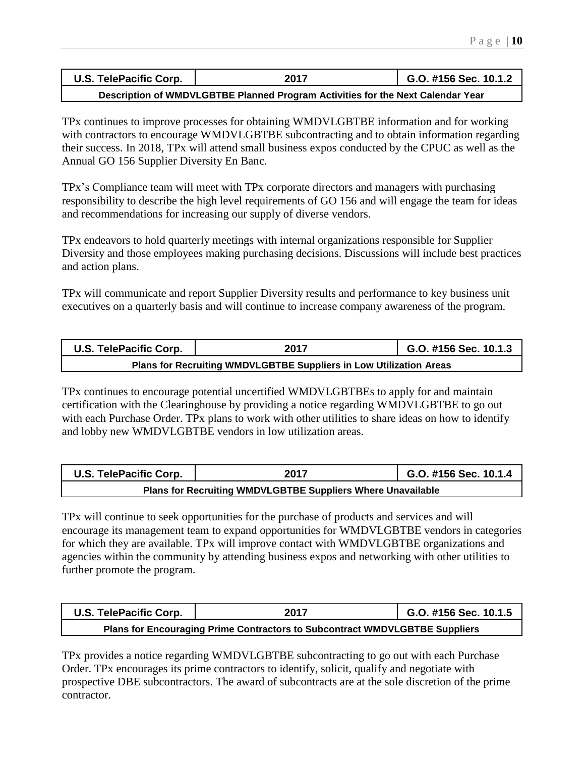| <b>U.S. TelePacific Corp.</b>                                                   | 2017 | G.O. #156 Sec. 10.1.2 |  |  |  |  |
|---------------------------------------------------------------------------------|------|-----------------------|--|--|--|--|
| Description of WMDVLGBTBE Planned Program Activities for the Next Calendar Year |      |                       |  |  |  |  |

TPx continues to improve processes for obtaining WMDVLGBTBE information and for working with contractors to encourage WMDVLGBTBE subcontracting and to obtain information regarding their success. In 2018, TPx will attend small business expos conducted by the CPUC as well as the Annual GO 156 Supplier Diversity En Banc.

TPx's Compliance team will meet with TPx corporate directors and managers with purchasing responsibility to describe the high level requirements of GO 156 and will engage the team for ideas and recommendations for increasing our supply of diverse vendors.

TPx endeavors to hold quarterly meetings with internal organizations responsible for Supplier Diversity and those employees making purchasing decisions. Discussions will include best practices and action plans.

TPx will communicate and report Supplier Diversity results and performance to key business unit executives on a quarterly basis and will continue to increase company awareness of the program.

| U.S. TelePacific Corp.                                             | 2017 | G.O. #156 Sec. 10.1.3 |  |  |
|--------------------------------------------------------------------|------|-----------------------|--|--|
| Plans for Recruiting WMDVLGBTBE Suppliers in Low Utilization Areas |      |                       |  |  |

TPx continues to encourage potential uncertified WMDVLGBTBEs to apply for and maintain certification with the Clearinghouse by providing a notice regarding WMDVLGBTBE to go out with each Purchase Order. TPx plans to work with other utilities to share ideas on how to identify and lobby new WMDVLGBTBE vendors in low utilization areas.

| U.S. TelePacific Corp.                                      | 2017 | G.O. #156 Sec. 10.1.4 |  |  |
|-------------------------------------------------------------|------|-----------------------|--|--|
| Plans for Recruiting WMDVLGBTBE Suppliers Where Unavailable |      |                       |  |  |

TPx will continue to seek opportunities for the purchase of products and services and will encourage its management team to expand opportunities for WMDVLGBTBE vendors in categories for which they are available. TPx will improve contact with WMDVLGBTBE organizations and agencies within the community by attending business expos and networking with other utilities to further promote the program.

| <b>U.S. TelePacific Corp.</b>                                               | 2017 | G.O. #156 Sec. 10.1.5 |  |  |
|-----------------------------------------------------------------------------|------|-----------------------|--|--|
| Plans for Encouraging Prime Contractors to Subcontract WMDVLGBTBE Suppliers |      |                       |  |  |

TPx provides a notice regarding WMDVLGBTBE subcontracting to go out with each Purchase Order. TPx encourages its prime contractors to identify, solicit, qualify and negotiate with prospective DBE subcontractors. The award of subcontracts are at the sole discretion of the prime contractor.